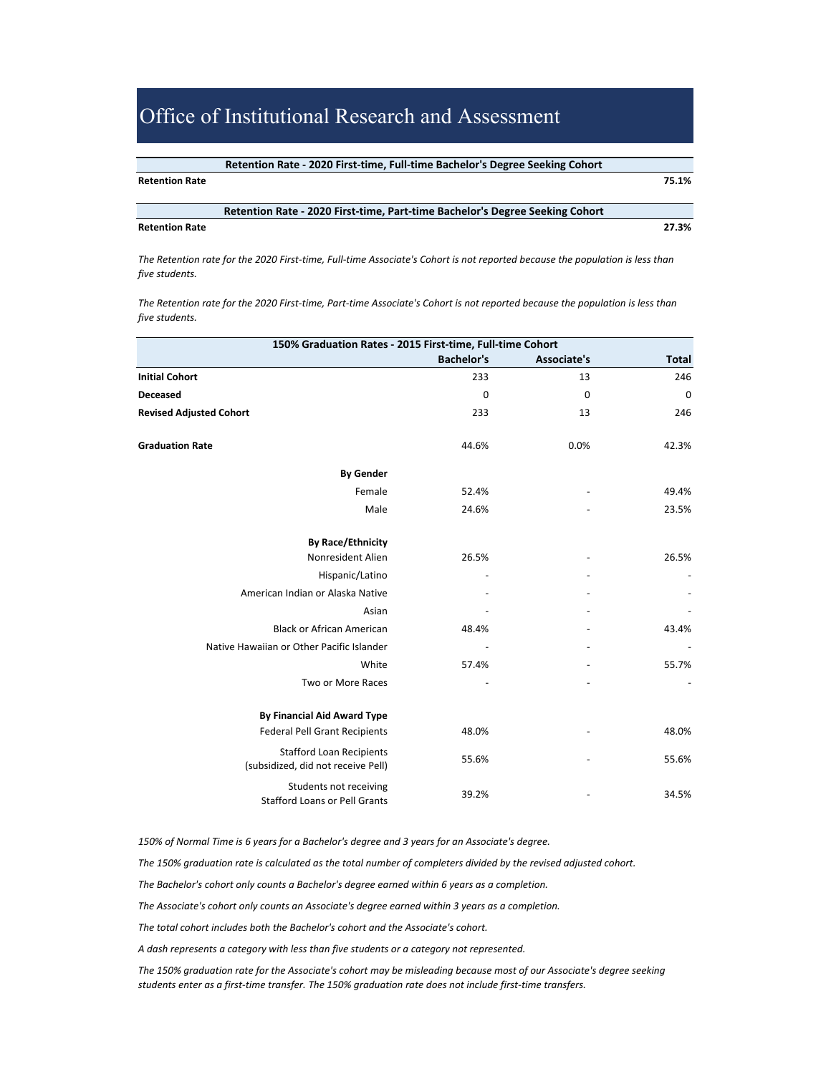| Retention Rate - 2020 First-time, Full-time Bachelor's Degree Seeking Cohort |
|------------------------------------------------------------------------------|
|                                                                              |

#### **Retention Rate 75.1%**

**Retention Rate ‐ 2020 First‐time, Part‐time Bachelor's Degree Seeking Cohort** 

#### **Retention Rate 27.3%**

*The Retention rate for the 2020 First‐time, Full‐time Associate's Cohort is not reported because the population is less than five students.* 

*The Retention rate for the 2020 First‐time, Part‐time Associate's Cohort is not reported because the population is less than five students.* 

| 150% Graduation Rates - 2015 First-time, Full-time Cohort             |                   |             |              |  |
|-----------------------------------------------------------------------|-------------------|-------------|--------------|--|
|                                                                       | <b>Bachelor's</b> | Associate's | <b>Total</b> |  |
| <b>Initial Cohort</b>                                                 | 233               | 13          | 246          |  |
| Deceased                                                              | 0                 | $\mathbf 0$ | 0            |  |
| <b>Revised Adjusted Cohort</b>                                        | 233               | 13          | 246          |  |
| <b>Graduation Rate</b>                                                | 44.6%             | 0.0%        | 42.3%        |  |
| <b>By Gender</b>                                                      |                   |             |              |  |
| Female                                                                | 52.4%             |             | 49.4%        |  |
| Male                                                                  | 24.6%             |             | 23.5%        |  |
| <b>By Race/Ethnicity</b>                                              |                   |             |              |  |
| Nonresident Alien                                                     | 26.5%             |             | 26.5%        |  |
| Hispanic/Latino                                                       |                   |             |              |  |
| American Indian or Alaska Native                                      |                   |             |              |  |
| Asian                                                                 |                   |             |              |  |
| <b>Black or African American</b>                                      | 48.4%             |             | 43.4%        |  |
| Native Hawaiian or Other Pacific Islander                             |                   |             |              |  |
| White                                                                 | 57.4%             |             | 55.7%        |  |
| Two or More Races                                                     |                   |             |              |  |
| <b>By Financial Aid Award Type</b>                                    |                   |             |              |  |
| <b>Federal Pell Grant Recipients</b>                                  | 48.0%             |             | 48.0%        |  |
| <b>Stafford Loan Recipients</b><br>(subsidized, did not receive Pell) | 55.6%             |             | 55.6%        |  |
| Students not receiving<br><b>Stafford Loans or Pell Grants</b>        | 39.2%             |             | 34.5%        |  |

*150% of Normal Time is 6 years for a Bachelor's degree and 3 years for an Associate's degree.* 

*The 150% graduation rate is calculated as the total number of completers divided by the revised adjusted cohort.*

*The Bachelor's cohort only counts a Bachelor's degree earned within 6 years as a completion.*

*The Associate's cohort only counts an Associate's degree earned within 3 years as a completion.*

*The total cohort includes both the Bachelor's cohort and the Associate's cohort.* 

*A dash represents a category with less than five students or a category not represented.*

*The 150% graduation rate for the Associate's cohort may be misleading because most of our Associate's degree seeking students enter as a first‐time transfer. The 150% graduation rate does not include first‐time transfers.*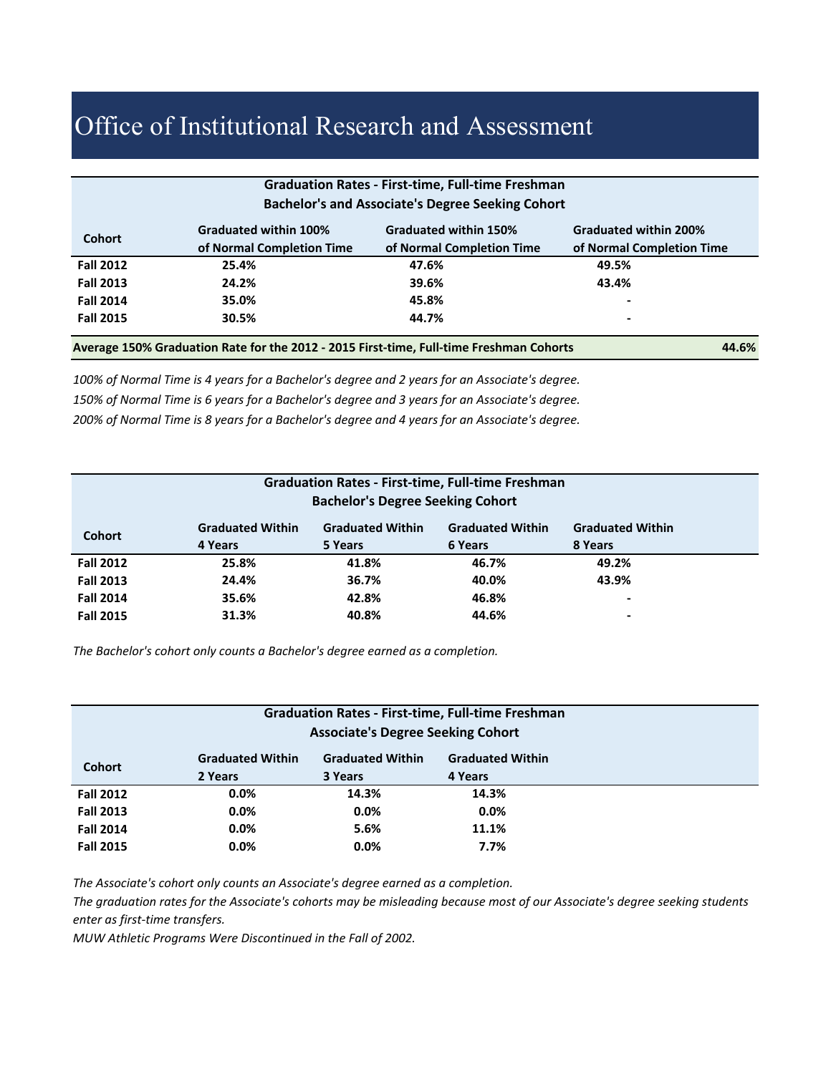| <b>Graduation Rates - First-time, Full-time Freshman</b> |                              |                              |                              |  |  |
|----------------------------------------------------------|------------------------------|------------------------------|------------------------------|--|--|
| <b>Bachelor's and Associate's Degree Seeking Cohort</b>  |                              |                              |                              |  |  |
| <b>Cohort</b>                                            | <b>Graduated within 100%</b> | <b>Graduated within 150%</b> | <b>Graduated within 200%</b> |  |  |
|                                                          | of Normal Completion Time    | of Normal Completion Time    | of Normal Completion Time    |  |  |
| <b>Fall 2012</b>                                         | 25.4%                        | 47.6%                        | 49.5%                        |  |  |
| <b>Fall 2013</b>                                         | 24.2%                        | 39.6%                        | 43.4%                        |  |  |
| <b>Fall 2014</b>                                         | 35.0%                        | 45.8%                        | ٠                            |  |  |
| <b>Fall 2015</b>                                         | 30.5%                        | 44.7%                        | $\blacksquare$               |  |  |
|                                                          |                              |                              |                              |  |  |

**Average 150% Graduation Rate for the 2012 ‐ 2015 First‐time, Full‐time Freshman Cohorts 44.6%**

*100% of Normal Time is 4 years for a Bachelor's degree and 2 years for an Associate's degree. 150% of Normal Time is 6 years for a Bachelor's degree and 3 years for an Associate's degree. 200% of Normal Time is 8 years for a Bachelor's degree and 4 years for an Associate's degree.* 

| <b>Graduation Rates - First-time, Full-time Freshman</b> |                         |                                         |                         |                          |  |
|----------------------------------------------------------|-------------------------|-----------------------------------------|-------------------------|--------------------------|--|
|                                                          |                         | <b>Bachelor's Degree Seeking Cohort</b> |                         |                          |  |
|                                                          |                         |                                         |                         |                          |  |
| <b>Cohort</b>                                            | <b>Graduated Within</b> | <b>Graduated Within</b>                 | <b>Graduated Within</b> | <b>Graduated Within</b>  |  |
|                                                          | 4 Years                 | 5 Years                                 | 6 Years                 | 8 Years                  |  |
| <b>Fall 2012</b>                                         | 25.8%                   | 41.8%                                   | 46.7%                   | 49.2%                    |  |
| <b>Fall 2013</b>                                         | 24.4%                   | 36.7%                                   | 40.0%                   | 43.9%                    |  |
| <b>Fall 2014</b>                                         | 35.6%                   | 42.8%                                   | 46.8%                   | $\overline{\phantom{a}}$ |  |
| <b>Fall 2015</b>                                         | 31.3%                   | 40.8%                                   | 44.6%                   | $\,$                     |  |
|                                                          |                         |                                         |                         |                          |  |

*The Bachelor's cohort only counts a Bachelor's degree earned as a completion.*

| <b>Graduation Rates - First-time, Full-time Freshman</b> |                         |                         |                         |  |
|----------------------------------------------------------|-------------------------|-------------------------|-------------------------|--|
| <b>Associate's Degree Seeking Cohort</b>                 |                         |                         |                         |  |
|                                                          |                         |                         |                         |  |
|                                                          | <b>Graduated Within</b> | <b>Graduated Within</b> | <b>Graduated Within</b> |  |
| <b>Cohort</b>                                            | 2 Years                 | 3 Years                 | 4 Years                 |  |
| <b>Fall 2012</b>                                         | 0.0%                    | 14.3%                   | 14.3%                   |  |
| <b>Fall 2013</b>                                         | $0.0\%$                 | $0.0\%$                 | $0.0\%$                 |  |
| <b>Fall 2014</b>                                         | $0.0\%$                 | 5.6%                    | 11.1%                   |  |
| <b>Fall 2015</b>                                         | $0.0\%$                 | $0.0\%$                 | 7.7%                    |  |

*The Associate's cohort only counts an Associate's degree earned as a completion.*

*The graduation rates for the Associate's cohorts may be misleading because most of our Associate's degree seeking students enter as first‐time transfers.* 

*MUW Athletic Programs Were Discontinued in the Fall of 2002.*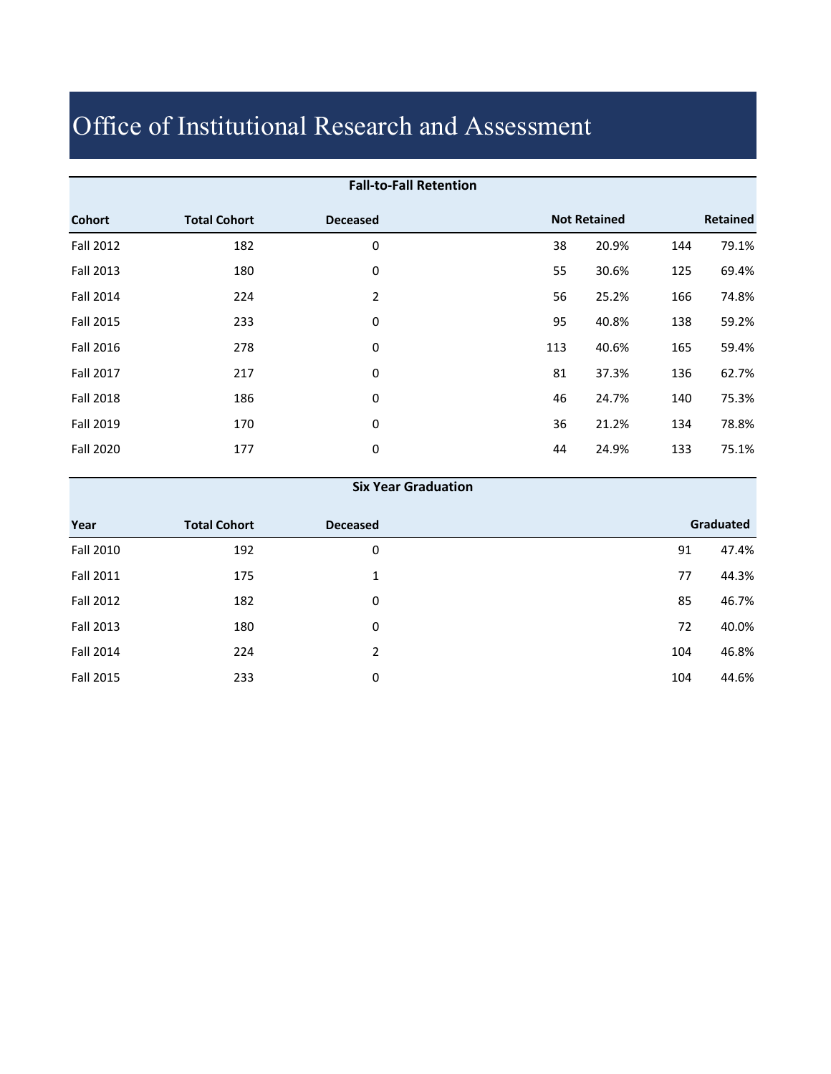| <b>Fall-to-Fall Retention</b> |                     |                 |     |                     |     |          |
|-------------------------------|---------------------|-----------------|-----|---------------------|-----|----------|
| <b>Cohort</b>                 | <b>Total Cohort</b> | <b>Deceased</b> |     | <b>Not Retained</b> |     | Retained |
| <b>Fall 2012</b>              | 182                 | 0               | 38  | 20.9%               | 144 | 79.1%    |
| <b>Fall 2013</b>              | 180                 | 0               | 55  | 30.6%               | 125 | 69.4%    |
| Fall 2014                     | 224                 | $\overline{2}$  | 56  | 25.2%               | 166 | 74.8%    |
| <b>Fall 2015</b>              | 233                 | 0               | 95  | 40.8%               | 138 | 59.2%    |
| Fall 2016                     | 278                 | 0               | 113 | 40.6%               | 165 | 59.4%    |
| <b>Fall 2017</b>              | 217                 | 0               | 81  | 37.3%               | 136 | 62.7%    |
| <b>Fall 2018</b>              | 186                 | 0               | 46  | 24.7%               | 140 | 75.3%    |
| <b>Fall 2019</b>              | 170                 | 0               | 36  | 21.2%               | 134 | 78.8%    |
| <b>Fall 2020</b>              | 177                 | 0               | 44  | 24.9%               | 133 | 75.1%    |
|                               |                     |                 |     |                     |     |          |

#### **Six Year Graduation**

| Year      | <b>Total Cohort</b> | <b>Deceased</b> |     | Graduated |
|-----------|---------------------|-----------------|-----|-----------|
| Fall 2010 | 192                 | 0               | 91  | 47.4%     |
| Fall 2011 | 175                 | 1               | 77  | 44.3%     |
| Fall 2012 | 182                 | 0               | 85  | 46.7%     |
| Fall 2013 | 180                 | 0               | 72  | 40.0%     |
| Fall 2014 | 224                 | 2               | 104 | 46.8%     |
| Fall 2015 | 233                 | 0               | 104 | 44.6%     |